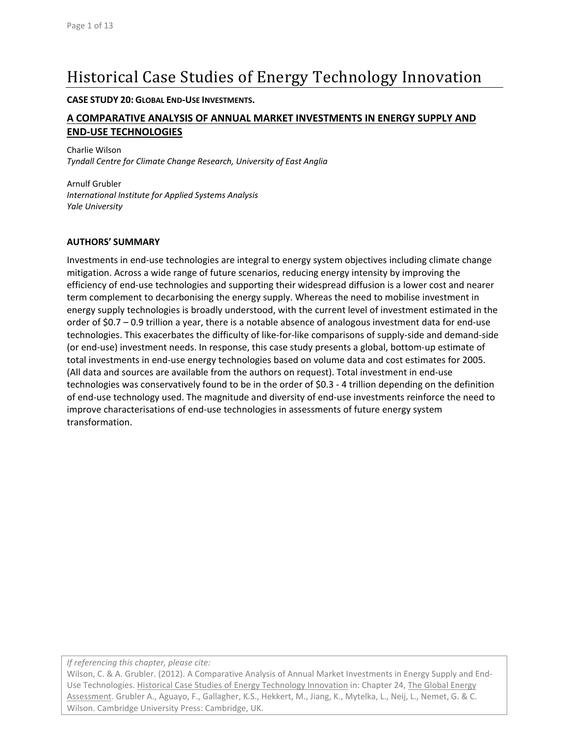# Historical Case Studies of Energy Technology Innovation

**CASE STUDY 20: GLOBAL END‐USE INVESTMENTS.**

## **A COMPARATIVE ANALYSIS OF ANNUAL MARKET INVESTMENTS IN ENERGY SUPPLY AND END‐USE TECHNOLOGIES**

Charlie Wilson *Tyndall Centre for Climate Change Research, University of East Anglia*

Arnulf Grubler *International Institute for Applied Systems Analysis Yale University*

#### **AUTHORS' SUMMARY**

Investments in end‐use technologies are integral to energy system objectives including climate change mitigation. Across a wide range of future scenarios, reducing energy intensity by improving the efficiency of end‐use technologies and supporting their widespread diffusion is a lower cost and nearer term complement to decarbonising the energy supply. Whereas the need to mobilise investment in energy supply technologies is broadly understood, with the current level of investment estimated in the order of \$0.7 – 0.9 trillion a year, there is a notable absence of analogous investment data for end‐use technologies. This exacerbates the difficulty of like‐for‐like comparisons of supply‐side and demand‐side (or end‐use) investment needs. In response, this case study presents a global, bottom‐up estimate of total investments in end‐use energy technologies based on volume data and cost estimates for 2005. (All data and sources are available from the authors on request). Total investment in end‐use technologies was conservatively found to be in the order of \$0.3 ‐ 4 trillion depending on the definition of end‐use technology used. The magnitude and diversity of end‐use investments reinforce the need to improve characterisations of end-use technologies in assessments of future energy system transformation.

*If referencing this chapter, please cite:*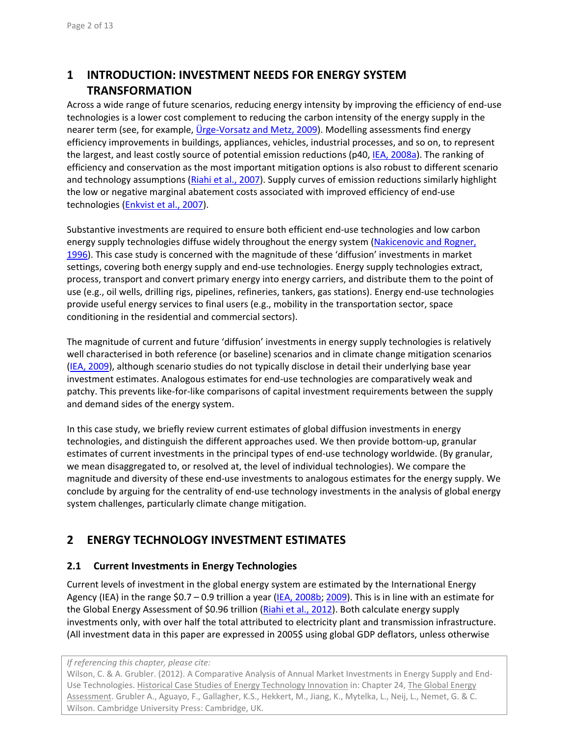# **1 INTRODUCTION: INVESTMENT NEEDS FOR ENERGY SYSTEM TRANSFORMATION**

Across a wide range of future scenarios, reducing energy intensity by improving the efficiency of end‐use technologies is a lower cost complement to reducing the carbon intensity of the energy supply in the nearer term (see, for example, Urge-Vorsatz and Metz, 2009). Modelling assessments find energy efficiency improvements in buildings, appliances, vehicles, industrial processes, and so on, to represent the largest, and least costly source of potential emission reductions (p40, IEA, 2008a). The ranking of efficiency and conservation as the most important mitigation options is also robust to different scenario and technology assumptions (Riahi et al., 2007). Supply curves of emission reductions similarly highlight the low or negative marginal abatement costs associated with improved efficiency of end‐use technologies (Enkvist et al., 2007).

Substantive investments are required to ensure both efficient end‐use technologies and low carbon energy supply technologies diffuse widely throughout the energy system (Nakicenovic and Rogner, 1996). This case study is concerned with the magnitude of these 'diffusion' investments in market settings, covering both energy supply and end‐use technologies. Energy supply technologies extract, process, transport and convert primary energy into energy carriers, and distribute them to the point of use (e.g., oil wells, drilling rigs, pipelines, refineries, tankers, gas stations). Energy end‐use technologies provide useful energy services to final users (e.g., mobility in the transportation sector, space conditioning in the residential and commercial sectors).

The magnitude of current and future 'diffusion' investments in energy supply technologies is relatively well characterised in both reference (or baseline) scenarios and in climate change mitigation scenarios (IEA, 2009), although scenario studies do not typically disclose in detail their underlying base year investment estimates. Analogous estimates for end‐use technologies are comparatively weak and patchy. This prevents like‐for‐like comparisons of capital investment requirements between the supply and demand sides of the energy system.

In this case study, we briefly review current estimates of global diffusion investments in energy technologies, and distinguish the different approaches used. We then provide bottom‐up, granular estimates of current investments in the principal types of end-use technology worldwide. (By granular, we mean disaggregated to, or resolved at, the level of individual technologies). We compare the magnitude and diversity of these end-use investments to analogous estimates for the energy supply. We conclude by arguing for the centrality of end-use technology investments in the analysis of global energy system challenges, particularly climate change mitigation.

## **2 ENERGY TECHNOLOGY INVESTMENT ESTIMATES**

#### **2.1 Current Investments in Energy Technologies**

Current levels of investment in the global energy system are estimated by the International Energy Agency (IEA) in the range \$0.7 – 0.9 trillion a year (IEA, 2008b; 2009). This is in line with an estimate for the Global Energy Assessment of \$0.96 trillion (Riahi et al., 2012). Both calculate energy supply investments only, with over half the total attributed to electricity plant and transmission infrastructure. (All investment data in this paper are expressed in 2005\$ using global GDP deflators, unless otherwise

*If referencing this chapter, please cite:*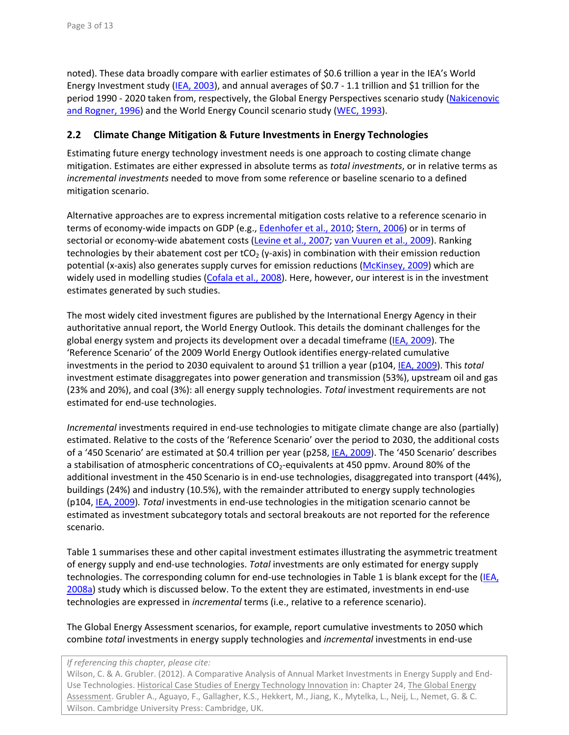noted). These data broadly compare with earlier estimates of \$0.6 trillion a year in the IEA's World Energy Investment study (IEA, 2003), and annual averages of \$0.7 - 1.1 trillion and \$1 trillion for the period 1990 ‐ 2020 taken from, respectively, the Global Energy Perspectives scenario study (Nakicenovic and Rogner, 1996) and the World Energy Council scenario study (WEC, 1993).

### **2.2 Climate Change Mitigation & Future Investments in Energy Technologies**

Estimating future energy technology investment needs is one approach to costing climate change mitigation. Estimates are either expressed in absolute terms as *total investments*, or in relative terms as *incremental investments* needed to move from some reference or baseline scenario to a defined mitigation scenario.

Alternative approaches are to express incremental mitigation costs relative to a reference scenario in terms of economy-wide impacts on GDP (e.g., Edenhofer et al., 2010; Stern, 2006) or in terms of sectorial or economy-wide abatement costs (Levine et al., 2007; van Vuuren et al., 2009). Ranking technologies by their abatement cost per tCO<sub>2</sub> (y-axis) in combination with their emission reduction potential (x-axis) also generates supply curves for emission reductions (McKinsey, 2009) which are widely used in modelling studies (Cofala et al., 2008). Here, however, our interest is in the investment estimates generated by such studies.

The most widely cited investment figures are published by the International Energy Agency in their authoritative annual report, the World Energy Outlook. This details the dominant challenges for the global energy system and projects its development over a decadal timeframe (IEA, 2009). The 'Reference Scenario' of the 2009 World Energy Outlook identifies energy‐related cumulative investments in the period to 2030 equivalent to around \$1 trillion a year (p104, IEA, 2009). This *total* investment estimate disaggregates into power generation and transmission (53%), upstream oil and gas (23% and 20%), and coal (3%): all energy supply technologies. *Total* investment requirements are not estimated for end‐use technologies.

*Incremental* investments required in end-use technologies to mitigate climate change are also (partially) estimated. Relative to the costs of the 'Reference Scenario' over the period to 2030, the additional costs of a '450 Scenario' are estimated at \$0.4 trillion per year (p258, IEA, 2009). The '450 Scenario' describes a stabilisation of atmospheric concentrations of CO<sub>2</sub>-equivalents at 450 ppmv. Around 80% of the additional investment in the 450 Scenario is in end‐use technologies, disaggregated into transport (44%), buildings (24%) and industry (10.5%), with the remainder attributed to energy supply technologies (p104, IEA, 2009)*. Total* investments in end‐use technologies in the mitigation scenario cannot be estimated as investment subcategory totals and sectoral breakouts are not reported for the reference scenario.

Table 1 summarises these and other capital investment estimates illustrating the asymmetric treatment of energy supply and end‐use technologies. *Total* investments are only estimated for energy supply technologies. The corresponding column for end-use technologies in Table 1 is blank except for the (IEA, 2008a) study which is discussed below. To the extent they are estimated, investments in end‐use technologies are expressed in *incremental* terms (i.e., relative to a reference scenario).

The Global Energy Assessment scenarios, for example, report cumulative investments to 2050 which combine *total* investments in energy supply technologies and *incremental* investments in end‐use

#### *If referencing this chapter, please cite:*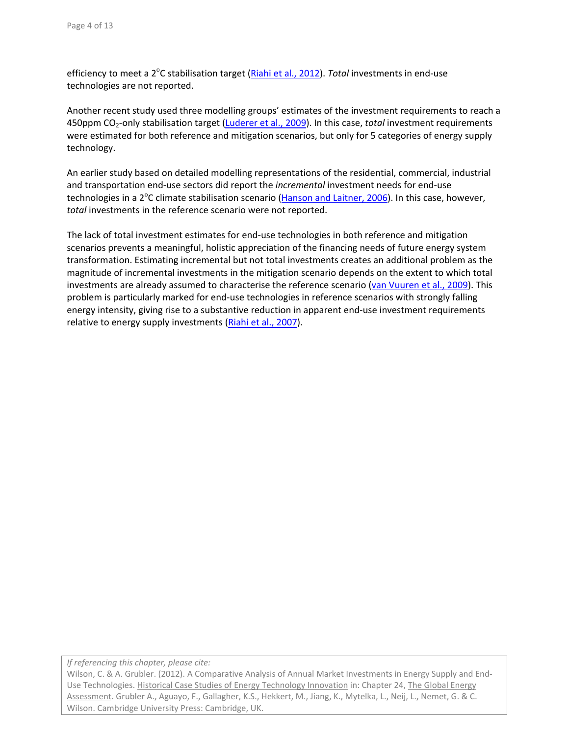efficiency to meet a 2<sup>o</sup>C stabilisation target (**Riahi et al., 2012**). *Total* investments in end-use technologies are not reported.

Another recent study used three modelling groups' estimates of the investment requirements to reach a 450ppm CO2‐only stabilisation target (Luderer et al., 2009). In this case, *total* investment requirements were estimated for both reference and mitigation scenarios, but only for 5 categories of energy supply technology.

An earlier study based on detailed modelling representations of the residential, commercial, industrial and transportation end‐use sectors did report the *incremental* investment needs for end‐use technologies in a 2<sup>o</sup>C climate stabilisation scenario (Hanson and Laitner, 2006). In this case, however, *total* investments in the reference scenario were not reported.

The lack of total investment estimates for end‐use technologies in both reference and mitigation scenarios prevents a meaningful, holistic appreciation of the financing needs of future energy system transformation. Estimating incremental but not total investments creates an additional problem as the magnitude of incremental investments in the mitigation scenario depends on the extent to which total investments are already assumed to characterise the reference scenario (van Vuuren et al., 2009). This problem is particularly marked for end‐use technologies in reference scenarios with strongly falling energy intensity, giving rise to a substantive reduction in apparent end‐use investment requirements relative to energy supply investments (Riahi et al., 2007).

*If referencing this chapter, please cite:*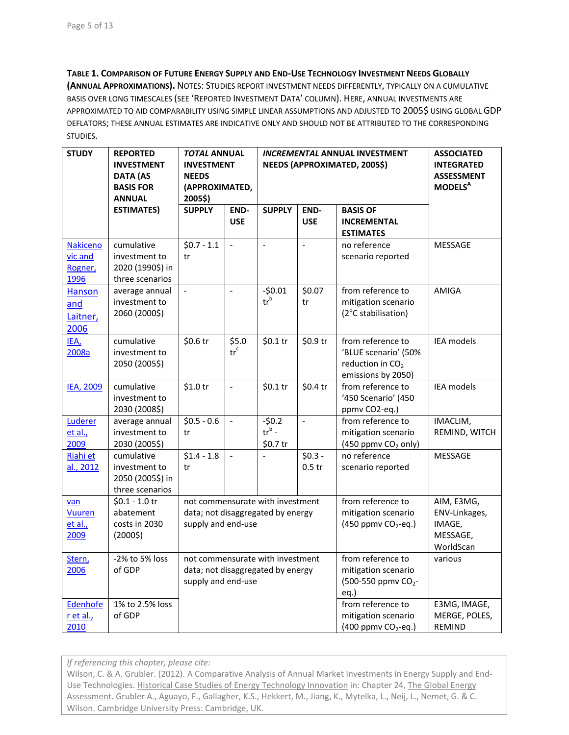**TABLE 1. COMPARISON OF FUTURE ENERGY SUPPLY AND END‐USE TECHNOLOGY INVESTMENT NEEDS GLOBALLY (ANNUAL APPROXIMATIONS).** NOTES: STUDIES REPORT INVESTMENT NEEDS DIFFERENTLY, TYPICALLY ON A CUMULATIVE BASIS OVER LONG TIMESCALES (SEE 'REPORTED INVESTMENT DATA' COLUMN). HERE, ANNUAL INVESTMENTS ARE APPROXIMATED TO AID COMPARABILITY USING SIMPLE LINEAR ASSUMPTIONS AND ADJUSTED TO 2005\$ USING GLOBAL GDP DEFLATORS; THESE ANNUAL ESTIMATES ARE INDICATIVE ONLY AND SHOULD NOT BE ATTRIBUTED TO THE CORRESPONDING STUDIES.

| <b>STUDY</b>     | <b>REPORTED</b>   | <b>TOTAL ANNUAL</b>                               |                                        | <b>INCREMENTAL ANNUAL INVESTMENT</b> | <b>ASSOCIATED</b>        |                                 |                            |
|------------------|-------------------|---------------------------------------------------|----------------------------------------|--------------------------------------|--------------------------|---------------------------------|----------------------------|
|                  | <b>INVESTMENT</b> | <b>INVESTMENT</b><br>NEEDS (APPROXIMATED, 2005\$) |                                        |                                      |                          |                                 | <b>INTEGRATED</b>          |
|                  | <b>DATA (AS</b>   | <b>NEEDS</b>                                      |                                        |                                      |                          |                                 | <b>ASSESSMENT</b>          |
|                  | <b>BASIS FOR</b>  | (APPROXIMATED,                                    |                                        |                                      |                          |                                 | <b>MODELS</b> <sup>A</sup> |
|                  | <b>ANNUAL</b>     | 2005\$)                                           |                                        |                                      |                          |                                 |                            |
|                  | <b>ESTIMATES)</b> | <b>SUPPLY</b>                                     | END-                                   | <b>SUPPLY</b>                        | END-                     | <b>BASIS OF</b>                 |                            |
|                  |                   |                                                   | <b>USE</b>                             |                                      | <b>USE</b>               | <b>INCREMENTAL</b>              |                            |
|                  |                   |                                                   |                                        |                                      |                          | <b>ESTIMATES</b>                |                            |
| <b>Nakiceno</b>  | cumulative        | $$0.7 - 1.1$                                      | $\blacksquare$                         | $\overline{\phantom{0}}$             | $\overline{a}$           | no reference                    | MESSAGE                    |
| vic and          | investment to     | tr                                                |                                        |                                      |                          | scenario reported               |                            |
| Rogner,          | 2020 (1990\$) in  |                                                   |                                        |                                      |                          |                                 |                            |
| 1996             | three scenarios   |                                                   |                                        |                                      |                          |                                 |                            |
| <b>Hanson</b>    | average annual    | $\Box$                                            | $\frac{1}{2}$                          | $-50.01$                             | \$0.07                   | from reference to               | AMIGA                      |
| and              | investment to     |                                                   |                                        | $tr^b$                               | tr                       | mitigation scenario             |                            |
| Laitner,         | 2060 (2000\$)     |                                                   |                                        |                                      |                          | (2°C stabilisation)             |                            |
| 2006             |                   |                                                   |                                        |                                      |                          |                                 |                            |
| IEA,             | cumulative        | \$0.6 tr                                          | \$5.0                                  | \$0.1 tr                             | \$0.9 tr                 | from reference to               | IEA models                 |
| 2008a            | investment to     |                                                   | $\operatorname{tr}^{\operatorname{c}}$ |                                      |                          | 'BLUE scenario' (50%            |                            |
|                  | 2050 (2005\$)     |                                                   |                                        |                                      |                          | reduction in CO <sub>2</sub>    |                            |
|                  |                   |                                                   |                                        |                                      |                          | emissions by 2050)              |                            |
| <b>IEA, 2009</b> | cumulative        | \$1.0 tr                                          | $\overline{a}$                         | \$0.1 tr                             | \$0.4 tr                 | from reference to               | <b>IEA</b> models          |
|                  | investment to     |                                                   |                                        |                                      |                          | '450 Scenario' (450             |                            |
|                  | 2030 (2008\$)     |                                                   |                                        |                                      |                          | ppmv CO2-eq.)                   |                            |
| Luderer          | average annual    | $$0.5 - 0.6$                                      | $\equiv$                               | $-50.2$                              | $\overline{\phantom{a}}$ | from reference to               | IMACLIM,                   |
| et al.,          | investment to     | tr                                                |                                        | $tr^b$ -                             |                          | mitigation scenario             | REMIND, WITCH              |
| 2009             | 2030 (2005\$)     |                                                   |                                        | \$0.7 tr                             |                          | (450 ppmv CO <sub>2</sub> only) |                            |
| Riahi et         | cumulative        | $$1.4 - 1.8$                                      | $\overline{a}$                         | $\overline{a}$                       | $$0.3 -$                 | no reference                    | MESSAGE                    |
| al., 2012        | investment to     | tr                                                |                                        |                                      | $0.5$ tr                 | scenario reported               |                            |
|                  | 2050 (2005\$) in  |                                                   |                                        |                                      |                          |                                 |                            |
|                  | three scenarios   |                                                   |                                        |                                      |                          |                                 |                            |
| van              | $$0.1 - 1.0$ tr   | not commensurate with investment                  |                                        |                                      |                          | from reference to               | AIM, E3MG,                 |
| <b>Vuuren</b>    | abatement         | data; not disaggregated by energy                 |                                        |                                      |                          | mitigation scenario             | ENV-Linkages,              |
| et al.,          | costs in 2030     | supply and end-use                                |                                        |                                      |                          | (450 ppmv CO <sub>2</sub> -eq.) | IMAGE,                     |
| 2009             | (2000\$)          |                                                   |                                        |                                      |                          |                                 | MESSAGE,                   |
|                  |                   |                                                   |                                        |                                      |                          |                                 | WorldScan                  |
| Stern,           | -2% to 5% loss    | not commensurate with investment                  |                                        |                                      |                          | from reference to               | various                    |
| 2006             | of GDP            | data; not disaggregated by energy                 |                                        |                                      |                          | mitigation scenario             |                            |
|                  |                   | supply and end-use                                |                                        |                                      |                          | (500-550 ppmv CO <sub>2</sub> - |                            |
|                  |                   |                                                   |                                        |                                      |                          | $eq.$ )                         |                            |
| Edenhofe         | 1% to 2.5% loss   |                                                   |                                        |                                      |                          | from reference to               | E3MG, IMAGE,               |
| r et al.,        | of GDP            |                                                   |                                        |                                      |                          | mitigation scenario             | MERGE, POLES,              |
| 2010             |                   |                                                   |                                        |                                      |                          | (400 ppmv CO <sub>2</sub> -eq.) | REMIND                     |

*If referencing this chapter, please cite:*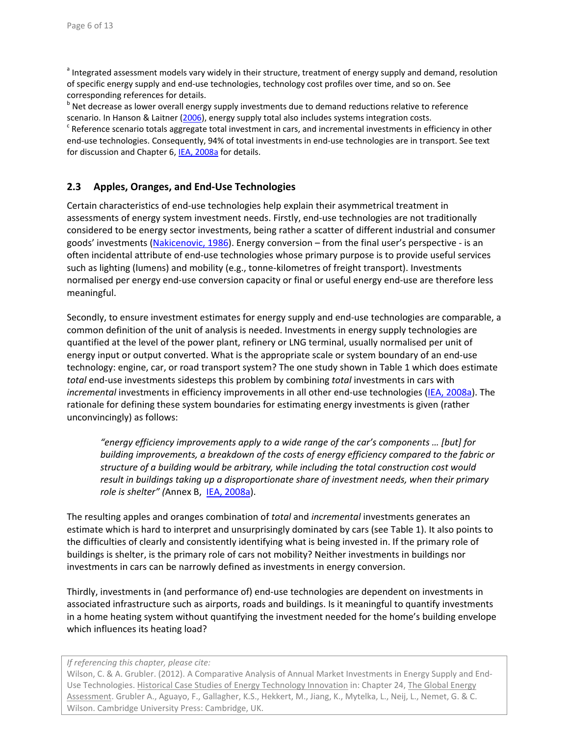<sup>a</sup> Integrated assessment models vary widely in their structure, treatment of energy supply and demand, resolution of specific energy supply and end‐use technologies, technology cost profiles over time, and so on. See

corresponding references for details.<br><sup>b</sup> Net decrease as lower overall energy supply investments due to demand reductions relative to reference

scenario. In Hanson & Laitner (2006), energy supply total also includes systems integration costs.<br><sup>c</sup> Reference scenario totals aggregate total investment in cars, and incremental investments in efficiency in other end-use technologies. Consequently, 94% of total investments in end-use technologies are in transport. See text for discussion and Chapter 6, IEA, 2008a for details.

#### **2.3 Apples, Oranges, and End‐Use Technologies**

Certain characteristics of end‐use technologies help explain their asymmetrical treatment in assessments of energy system investment needs. Firstly, end‐use technologies are not traditionally considered to be energy sector investments, being rather a scatter of different industrial and consumer goods' investments (Nakicenovic, 1986). Energy conversion – from the final user's perspective - is an often incidental attribute of end‐use technologies whose primary purpose is to provide useful services such as lighting (lumens) and mobility (e.g., tonne-kilometres of freight transport). Investments normalised per energy end‐use conversion capacity or final or useful energy end‐use are therefore less meaningful.

Secondly, to ensure investment estimates for energy supply and end‐use technologies are comparable, a common definition of the unit of analysis is needed. Investments in energy supply technologies are quantified at the level of the power plant, refinery or LNG terminal, usually normalised per unit of energy input or output converted. What is the appropriate scale or system boundary of an end‐use technology: engine, car, or road transport system? The one study shown in Table 1 which does estimate *total* end‐use investments sidesteps this problem by combining *total* investments in cars with incremental investments in efficiency improvements in all other end-use technologies (IEA, 2008a). The rationale for defining these system boundaries for estimating energy investments is given (rather unconvincingly) as follows:

*"energy efficiency improvements apply to a wide range of the car's components … [but] for building improvements, a breakdown of the costs of energy efficiency compared to the fabric or structure of a building would be arbitrary, while including the total construction cost would result in buildings taking up a disproportionate share of investment needs, when their primary role is shelter" (*Annex B, IEA, 2008a).

The resulting apples and oranges combination of *total* and *incremental* investments generates an estimate which is hard to interpret and unsurprisingly dominated by cars (see Table 1). It also points to the difficulties of clearly and consistently identifying what is being invested in. If the primary role of buildings is shelter, is the primary role of cars not mobility? Neither investments in buildings nor investments in cars can be narrowly defined as investments in energy conversion.

Thirdly, investments in (and performance of) end‐use technologies are dependent on investments in associated infrastructure such as airports, roads and buildings. Is it meaningful to quantify investments in a home heating system without quantifying the investment needed for the home's building envelope which influences its heating load?

*If referencing this chapter, please cite:*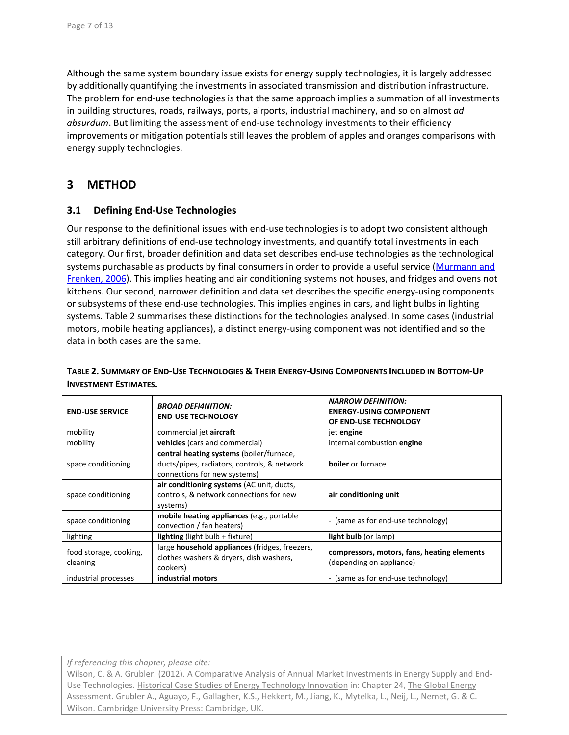Although the same system boundary issue exists for energy supply technologies, it is largely addressed by additionally quantifying the investments in associated transmission and distribution infrastructure. The problem for end-use technologies is that the same approach implies a summation of all investments in building structures, roads, railways, ports, airports, industrial machinery, and so on almost *ad absurdum*. But limiting the assessment of end-use technology investments to their efficiency improvements or mitigation potentials still leaves the problem of apples and oranges comparisons with energy supply technologies.

## **3 METHOD**

#### **3.1 Defining End‐Use Technologies**

Our response to the definitional issues with end‐use technologies is to adopt two consistent although still arbitrary definitions of end‐use technology investments, and quantify total investments in each category. Our first, broader definition and data set describes end‐use technologies as the technological systems purchasable as products by final consumers in order to provide a useful service (Murmann and Frenken, 2006). This implies heating and air conditioning systems not houses, and fridges and ovens not kitchens. Our second, narrower definition and data set describes the specific energy-using components or subsystems of these end‐use technologies. This implies engines in cars, and light bulbs in lighting systems. Table 2 summarises these distinctions for the technologies analysed. In some cases (industrial motors, mobile heating appliances), a distinct energy-using component was not identified and so the data in both cases are the same.

| <b>END-USE SERVICE</b>             | <b>BROAD DEFI4NITION:</b><br><b>END-USE TECHNOLOGY</b>                                                                  | <b>NARROW DEFINITION:</b><br><b>ENERGY-USING COMPONENT</b><br>OF END-USE TECHNOLOGY |  |  |
|------------------------------------|-------------------------------------------------------------------------------------------------------------------------|-------------------------------------------------------------------------------------|--|--|
| mobility                           | commercial jet aircraft                                                                                                 | jet engine                                                                          |  |  |
| mobility                           | vehicles (cars and commercial)                                                                                          | internal combustion engine                                                          |  |  |
| space conditioning                 | central heating systems (boiler/furnace,<br>ducts/pipes, radiators, controls, & network<br>connections for new systems) | <b>boiler</b> or furnace                                                            |  |  |
| space conditioning                 | air conditioning systems (AC unit, ducts,<br>controls, & network connections for new<br>systems)                        | air conditioning unit                                                               |  |  |
| space conditioning                 | mobile heating appliances (e.g., portable<br>convection / fan heaters)                                                  | - (same as for end-use technology)                                                  |  |  |
| lighting                           | <b>lighting</b> (light bulb $+$ fixture)                                                                                | light bulb (or lamp)                                                                |  |  |
| food storage, cooking,<br>cleaning | large household appliances (fridges, freezers,<br>clothes washers & dryers, dish washers,<br>cookers)                   | compressors, motors, fans, heating elements<br>(depending on appliance)             |  |  |
| industrial processes               | industrial motors                                                                                                       | (same as for end-use technology)<br>۰                                               |  |  |

#### TABLE 2. SUMMARY OF END-USE TECHNOLOGIES & THEIR ENERGY-USING COMPONENTS INCLUDED IN BOTTOM-UP **INVESTMENT ESTIMATES.**

*If referencing this chapter, please cite:*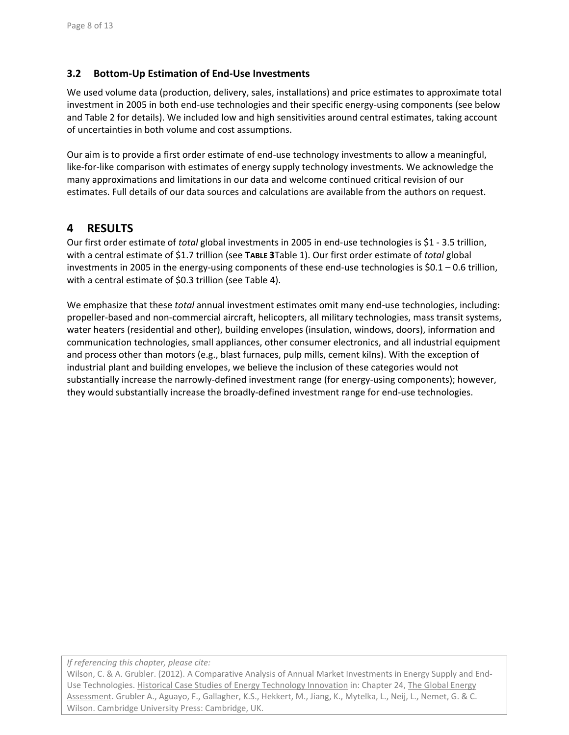#### **3.2 Bottom‐Up Estimation of End‐Use Investments**

We used volume data (production, delivery, sales, installations) and price estimates to approximate total investment in 2005 in both end-use technologies and their specific energy-using components (see below and Table 2 for details). We included low and high sensitivities around central estimates, taking account of uncertainties in both volume and cost assumptions.

Our aim is to provide a first order estimate of end‐use technology investments to allow a meaningful, like-for-like comparison with estimates of energy supply technology investments. We acknowledge the many approximations and limitations in our data and welcome continued critical revision of our estimates. Full details of our data sources and calculations are available from the authors on request.

## **4 RESULTS**

Our first order estimate of *total* global investments in 2005 in end‐use technologies is \$1 ‐ 3.5 trillion, with a central estimate of \$1.7 trillion (see **TABLE 3**Table 1). Our first order estimate of *total* global investments in 2005 in the energy-using components of these end-use technologies is \$0.1 – 0.6 trillion, with a central estimate of \$0.3 trillion (see Table 4).

We emphasize that these *total* annual investment estimates omit many end-use technologies, including: propeller‐based and non‐commercial aircraft, helicopters, all military technologies, mass transit systems, water heaters (residential and other), building envelopes (insulation, windows, doors), information and communication technologies, small appliances, other consumer electronics, and all industrial equipment and process other than motors (e.g., blast furnaces, pulp mills, cement kilns). With the exception of industrial plant and building envelopes, we believe the inclusion of these categories would not substantially increase the narrowly-defined investment range (for energy-using components); however, they would substantially increase the broadly‐defined investment range for end‐use technologies.

*If referencing this chapter, please cite:*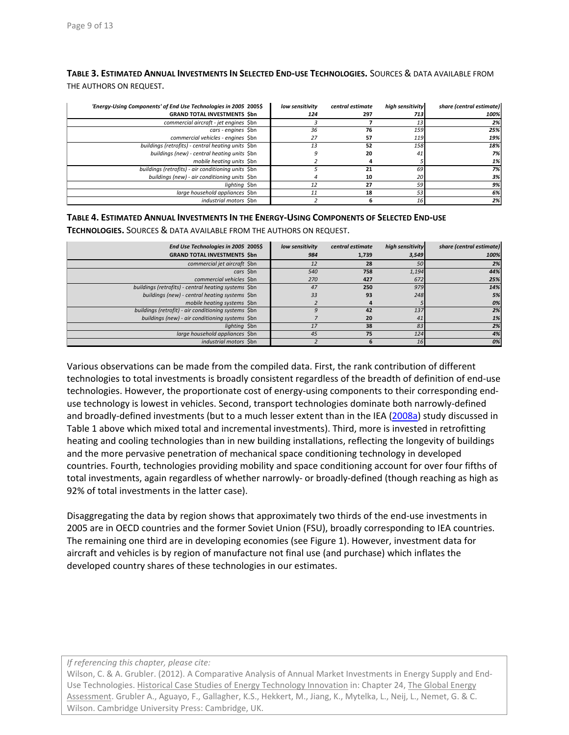**TABLE 3. ESTIMATED ANNUAL INVESTMENTS IN SELECTED END‐USE TECHNOLOGIES.** SOURCES & DATA AVAILABLE FROM THE AUTHORS ON REQUEST.

| 'Energy-Using Components' of End Use Technologies in 2005 2005\$ | low sensitivity | central estimate | high sensitivity | share (central estimate) |
|------------------------------------------------------------------|-----------------|------------------|------------------|--------------------------|
| <b>GRAND TOTAL INVESTMENTS Sbn</b>                               | 124             | 297              | 713              | 100%                     |
| commercial aircraft - jet engines \$bn                           |                 |                  | 13               | 2%                       |
| cars - engines \$bn                                              | 36              | 76               | 159              | 25%                      |
| commercial vehicles - engines \$bn                               | 27              | 57               | 119              | 19%                      |
| buildings (retrofits) - central heating units Sbn                | 13              | 52               | 158              | 18%                      |
| buildings (new) - central heating units \$bn                     |                 | 20               | 41               | 7%                       |
| mobile heating units \$bn                                        |                 |                  |                  | 1%                       |
| buildings (retrofits) - air conditioning units \$bn              |                 | 21               | 69               | 7%                       |
| buildings (new) - air conditioning units \$bn                    |                 | 10               | 20               | 3%                       |
| liahtina Sbn                                                     | 12              | 27               | 59               | 9%                       |
| large household appliances \$bn                                  | 11              | 18               | 53               | 6%                       |
| industrial motors Sbn                                            |                 |                  | 16               | 2%                       |

#### **TABLE 4. ESTIMATED ANNUAL INVESTMENTS IN THE ENERGY‐USING COMPONENTS OF SELECTED END‐USE**

**TECHNOLOGIES.** SOURCES & DATA AVAILABLE FROM THE AUTHORS ON REQUEST.

| End Use Technologies in 2005 2005\$                  | low sensitivity | central estimate | high sensitivity | share (central estimate) |
|------------------------------------------------------|-----------------|------------------|------------------|--------------------------|
| <b>GRAND TOTAL INVESTMENTS Sbn</b>                   | 984             | 1,739            | 3,549            | 100%                     |
| commercial jet aircraft \$bn                         | 12              | 28               | 50               | 2%                       |
| cars Sbn                                             | 540             | 758              | 1,194            | 44%                      |
| commercial vehicles \$bn                             | 270             | 427              | 672              | 25%                      |
| buildings (retrofits) - central heating systems \$bn | 47              | 250              | 979              | 14%                      |
| buildings (new) - central heating systems \$bn       | 33              | 93               | 248              | 5%                       |
| mobile heating systems \$bn                          |                 |                  |                  | 0%                       |
| buildings (retrofit) - air conditioning systems \$bn |                 | 42               | 137              | 2%                       |
| buildings (new) - air conditioning systems \$bn      |                 | 20               | 41               | 1%                       |
| lighting \$bn                                        | 17              | 38               | 83               | 2%                       |
| large household appliances \$bn                      | 45              | 75               | 124              | 4%                       |
| <i>industrial motors</i> Sbn                         |                 | h                | 16               | 0%                       |

Various observations can be made from the compiled data. First, the rank contribution of different technologies to total investments is broadly consistent regardless of the breadth of definition of end‐use technologies. However, the proportionate cost of energy‐using components to their corresponding end‐ use technology is lowest in vehicles. Second, transport technologies dominate both narrowly‐defined and broadly-defined investments (but to a much lesser extent than in the IEA (2008a) study discussed in Table 1 above which mixed total and incremental investments). Third, more is invested in retrofitting heating and cooling technologies than in new building installations, reflecting the longevity of buildings and the more pervasive penetration of mechanical space conditioning technology in developed countries. Fourth, technologies providing mobility and space conditioning account for over four fifths of total investments, again regardless of whether narrowly‐ or broadly‐defined (though reaching as high as 92% of total investments in the latter case).

Disaggregating the data by region shows that approximately two thirds of the end‐use investments in 2005 are in OECD countries and the former Soviet Union (FSU), broadly corresponding to IEA countries. The remaining one third are in developing economies (see Figure 1). However, investment data for aircraft and vehicles is by region of manufacture not final use (and purchase) which inflates the developed country shares of these technologies in our estimates.

*If referencing this chapter, please cite:*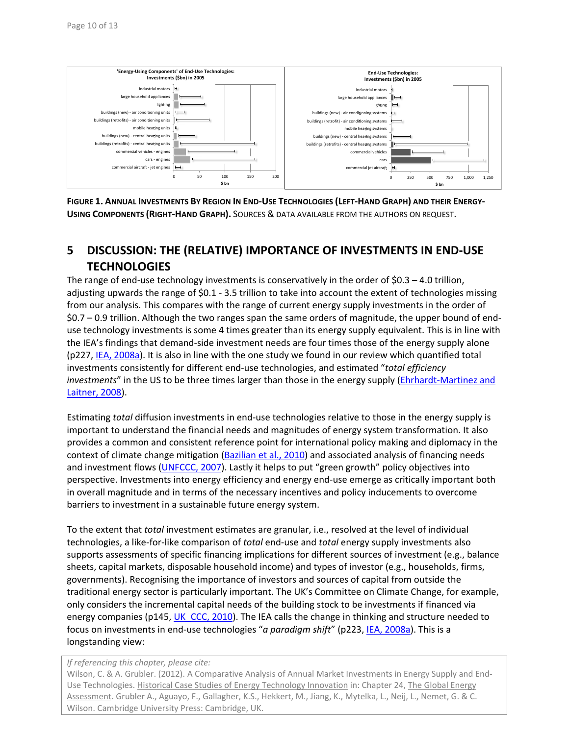

FIGURE 1. ANNUAL INVESTMENTS BY REGION IN END-USE TECHNOLOGIES (LEFT-HAND GRAPH) AND THEIR ENERGY-**USING COMPONENTS (RIGHT‐HAND GRAPH).** SOURCES & DATA AVAILABLE FROM THE AUTHORS ON REQUEST.

## **5 DISCUSSION: THE (RELATIVE) IMPORTANCE OF INVESTMENTS IN END‐USE TECHNOLOGIES**

The range of end-use technology investments is conservatively in the order of  $$0.3 - 4.0$  trillion, adjusting upwards the range of \$0.1 ‐ 3.5 trillion to take into account the extent of technologies missing from our analysis. This compares with the range of current energy supply investments in the order of \$0.7 – 0.9 trillion. Although the two ranges span the same orders of magnitude, the upper bound of end‐ use technology investments is some 4 times greater than its energy supply equivalent. This is in line with the IEA's findings that demand‐side investment needs are four times those of the energy supply alone (p227, IEA, 2008a). It is also in line with the one study we found in our review which quantified total investments consistently for different end‐use technologies, and estimated "*total efficiency investments*" in the US to be three times larger than those in the energy supply (*Ehrhardt-Martinez and* Laitner, 2008).

Estimating *total* diffusion investments in end‐use technologies relative to those in the energy supply is important to understand the financial needs and magnitudes of energy system transformation. It also provides a common and consistent reference point for international policy making and diplomacy in the context of climate change mitigation (Bazilian et al., 2010) and associated analysis of financing needs and investment flows (UNFCCC, 2007). Lastly it helps to put "green growth" policy objectives into perspective. Investments into energy efficiency and energy end‐use emerge as critically important both in overall magnitude and in terms of the necessary incentives and policy inducements to overcome barriers to investment in a sustainable future energy system.

To the extent that *total* investment estimates are granular, i.e., resolved at the level of individual technologies, a like‐for‐like comparison of *total* end‐use and *total* energy supply investments also supports assessments of specific financing implications for different sources of investment (e.g., balance sheets, capital markets, disposable household income) and types of investor (e.g., households, firms, governments). Recognising the importance of investors and sources of capital from outside the traditional energy sector is particularly important. The UK's Committee on Climate Change, for example, only considers the incremental capital needs of the building stock to be investments if financed via energy companies (p145, UK\_CCC, 2010). The IEA calls the change in thinking and structure needed to focus on investments in end‐use technologies "*a paradigm shift*" (p223, IEA, 2008a). This is a longstanding view:

*If referencing this chapter, please cite:*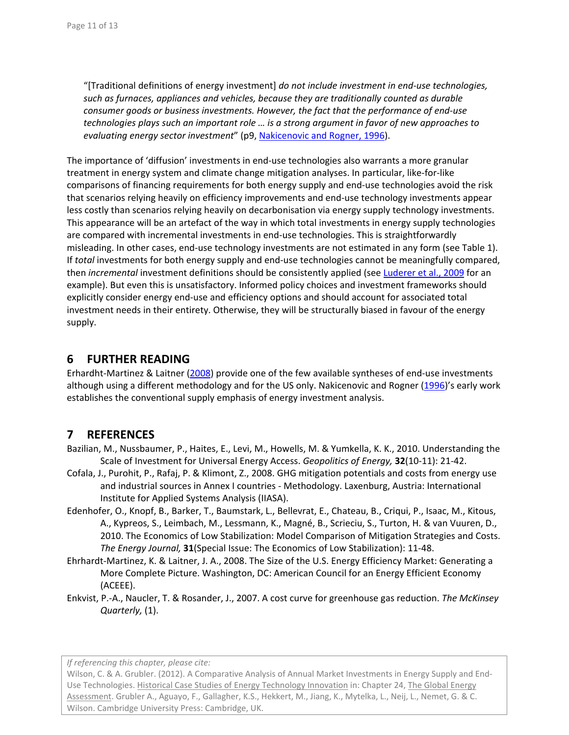"[Traditional definitions of energy investment] *do not include investment in end‐use technologies, such as furnaces, appliances and vehicles, because they are traditionally counted as durable consumer goods or business investments. However, the fact that the performance of end‐use technologies plays such an important role … is a strong argument in favor of new approaches to evaluating energy sector investment*" (p9, Nakicenovic and Rogner, 1996).

The importance of 'diffusion' investments in end-use technologies also warrants a more granular treatment in energy system and climate change mitigation analyses. In particular, like-for-like comparisons of financing requirements for both energy supply and end‐use technologies avoid the risk that scenarios relying heavily on efficiency improvements and end‐use technology investments appear less costly than scenarios relying heavily on decarbonisation via energy supply technology investments. This appearance will be an artefact of the way in which total investments in energy supply technologies are compared with incremental investments in end-use technologies. This is straightforwardly misleading. In other cases, end‐use technology investments are not estimated in any form (see Table 1). If *total* investments for both energy supply and end‐use technologies cannot be meaningfully compared, then *incremental* investment definitions should be consistently applied (see Luderer et al., 2009 for an example). But even this is unsatisfactory. Informed policy choices and investment frameworks should explicitly consider energy end‐use and efficiency options and should account for associated total investment needs in their entirety. Otherwise, they will be structurally biased in favour of the energy supply.

## **6 FURTHER READING**

Erhardht‐Martinez & Laitner (2008) provide one of the few available syntheses of end‐use investments although using a different methodology and for the US only. Nakicenovic and Rogner (1996)'s early work establishes the conventional supply emphasis of energy investment analysis.

## **7 REFERENCES**

- Bazilian, M., Nussbaumer, P., Haites, E., Levi, M., Howells, M. & Yumkella, K. K., 2010. Understanding the Scale of Investment for Universal Energy Access. *Geopolitics of Energy,* **32**(10‐11): 21‐42.
- Cofala, J., Purohit, P., Rafaj, P. & Klimont, Z., 2008. GHG mitigation potentials and costs from energy use and industrial sources in Annex I countries - Methodology. Laxenburg, Austria: International Institute for Applied Systems Analysis (IIASA).
- Edenhofer, O., Knopf, B., Barker, T., Baumstark, L., Bellevrat, E., Chateau, B., Criqui, P., Isaac, M., Kitous, A., Kypreos, S., Leimbach, M., Lessmann, K., Magné, B., Scrieciu, S., Turton, H. & van Vuuren, D., 2010. The Economics of Low Stabilization: Model Comparison of Mitigation Strategies and Costs. *The Energy Journal,* **31**(Special Issue: The Economics of Low Stabilization): 11‐48.
- Ehrhardt‐Martinez, K. & Laitner, J. A., 2008. The Size of the U.S. Energy Efficiency Market: Generating a More Complete Picture. Washington, DC: American Council for an Energy Efficient Economy (ACEEE).
- Enkvist, P.‐A., Naucler, T. & Rosander, J., 2007. A cost curve for greenhouse gas reduction. *The McKinsey Quarterly,* (1).

*If referencing this chapter, please cite:*

Wilson, C. & A. Grubler. (2012). A Comparative Analysis of Annual Market Investments in Energy Supply and End‐ Use Technologies. Historical Case Studies of Energy Technology Innovation in: Chapter 24, The Global Energy Assessment. Grubler A., Aguayo, F., Gallagher, K.S., Hekkert, M., Jiang, K., Mytelka, L., Neij, L., Nemet, G. & C. Wilson. Cambridge University Press: Cambridge, UK.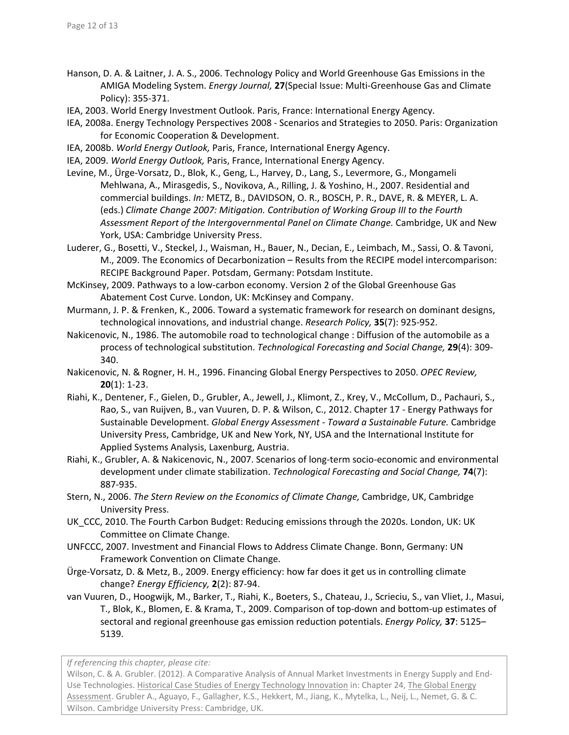- Hanson, D. A. & Laitner, J. A. S., 2006. Technology Policy and World Greenhouse Gas Emissions in the AMIGA Modeling System. *Energy Journal,* **27**(Special Issue: Multi‐Greenhouse Gas and Climate Policy): 355‐371.
- IEA, 2003. World Energy Investment Outlook. Paris, France: International Energy Agency.
- IEA, 2008a. Energy Technology Perspectives 2008 ‐ Scenarios and Strategies to 2050. Paris: Organization for Economic Cooperation & Development.
- IEA, 2008b. *World Energy Outlook,* Paris, France, International Energy Agency.
- IEA, 2009. *World Energy Outlook,* Paris, France, International Energy Agency.
- Levine, M., Ürge‐Vorsatz, D., Blok, K., Geng, L., Harvey, D., Lang, S., Levermore, G., Mongameli Mehlwana, A., Mirasgedis, S., Novikova, A., Rilling, J. & Yoshino, H., 2007. Residential and commercial buildings. *In:* METZ, B., DAVIDSON, O. R., BOSCH, P. R., DAVE, R. & MEYER, L. A. (eds.) *Climate Change 2007: Mitigation. Contribution of Working Group III to the Fourth Assessment Report of the Intergovernmental Panel on Climate Change.* Cambridge, UK and New York, USA: Cambridge University Press.
- Luderer, G., Bosetti, V., Steckel, J., Waisman, H., Bauer, N., Decian, E., Leimbach, M., Sassi, O. & Tavoni, M., 2009. The Economics of Decarbonization – Results from the RECIPE model intercomparison: RECIPE Background Paper. Potsdam, Germany: Potsdam Institute.
- McKinsey, 2009. Pathways to a low‐carbon economy. Version 2 of the Global Greenhouse Gas Abatement Cost Curve. London, UK: McKinsey and Company.
- Murmann, J. P. & Frenken, K., 2006. Toward a systematic framework for research on dominant designs, technological innovations, and industrial change. *Research Policy,* **35**(7): 925‐952.
- Nakicenovic, N., 1986. The automobile road to technological change : Diffusion of the automobile as a process of technological substitution. *Technological Forecasting and Social Change,* **29**(4): 309‐ 340.
- Nakicenovic, N. & Rogner, H. H., 1996. Financing Global Energy Perspectives to 2050. *OPEC Review,* **20**(1): 1‐23.
- Riahi, K., Dentener, F., Gielen, D., Grubler, A., Jewell, J., Klimont, Z., Krey, V., McCollum, D., Pachauri, S., Rao, S., van Ruijven, B., van Vuuren, D. P. & Wilson, C., 2012. Chapter 17 ‐ Energy Pathways for Sustainable Development. *Global Energy Assessment ‐ Toward a Sustainable Future.* Cambridge University Press, Cambridge, UK and New York, NY, USA and the International Institute for Applied Systems Analysis, Laxenburg, Austria.
- Riahi, K., Grubler, A. & Nakicenovic, N., 2007. Scenarios of long‐term socio‐economic and environmental development under climate stabilization. *Technological Forecasting and Social Change,* **74**(7): 887‐935.
- Stern, N., 2006. *The Stern Review on the Economics of Climate Change,* Cambridge, UK, Cambridge University Press.
- UK CCC, 2010. The Fourth Carbon Budget: Reducing emissions through the 2020s. London, UK: UK Committee on Climate Change.
- UNFCCC, 2007. Investment and Financial Flows to Address Climate Change. Bonn, Germany: UN Framework Convention on Climate Change.
- Ürge‐Vorsatz, D. & Metz, B., 2009. Energy efficiency: how far does it get us in controlling climate change? *Energy Efficiency,* **2**(2): 87‐94.
- van Vuuren, D., Hoogwijk, M., Barker, T., Riahi, K., Boeters, S., Chateau, J., Scrieciu, S., van Vliet, J., Masui, T., Blok, K., Blomen, E. & Krama, T., 2009. Comparison of top‐down and bottom‐up estimates of sectoral and regional greenhouse gas emission reduction potentials. *Energy Policy,* **37**: 5125– 5139.

*If referencing this chapter, please cite:*